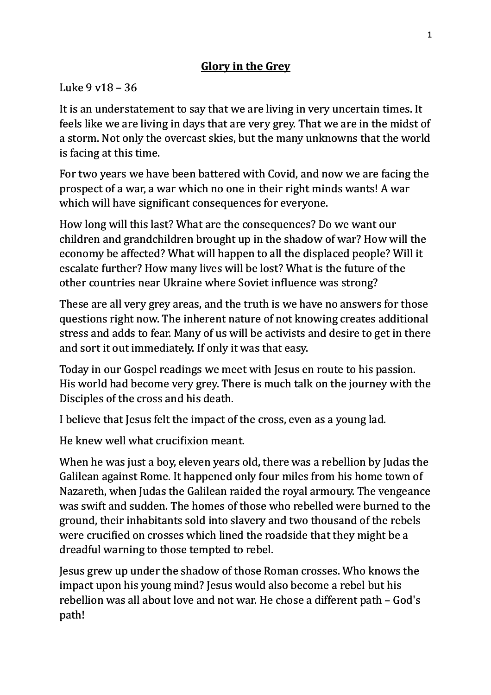## **Glory in the Grey**

## Luke  $9v18 - 36$

It is an understatement to say that we are living in very uncertain times. It feels like we are living in days that are very grey. That we are in the midst of a storm. Not only the overcast skies, but the many unknowns that the world is facing at this time.

For two years we have been battered with Covid, and now we are facing the prospect of a war, a war which no one in their right minds wants! A war which will have significant consequences for everyone.

How long will this last? What are the consequences? Do we want our children and grandchildren brought up in the shadow of war? How will the economy be affected? What will happen to all the displaced people? Will it escalate further? How many lives will be lost? What is the future of the other countries near Ukraine where Soviet influence was strong?

These are all very grey areas, and the truth is we have no answers for those questions right now. The inherent nature of not knowing creates additional stress and adds to fear. Many of us will be activists and desire to get in there and sort it out immediately. If only it was that easy.

Today in our Gospel readings we meet with Jesus en route to his passion. His world had become very grey. There is much talk on the journey with the Disciples of the cross and his death.

I believe that Jesus felt the impact of the cross, even as a young lad.

He knew well what crucifixion meant.

When he was just a boy, eleven years old, there was a rebellion by Judas the Galilean against Rome. It happened only four miles from his home town of Nazareth, when Judas the Galilean raided the royal armoury. The vengeance was swift and sudden. The homes of those who rebelled were burned to the ground, their inhabitants sold into slavery and two thousand of the rebels were crucified on crosses which lined the roadside that they might be a dreadful warning to those tempted to rebel.

Jesus grew up under the shadow of those Roman crosses. Who knows the impact upon his young mind? Jesus would also become a rebel but his rebellion was all about love and not war. He chose a different path – God's path!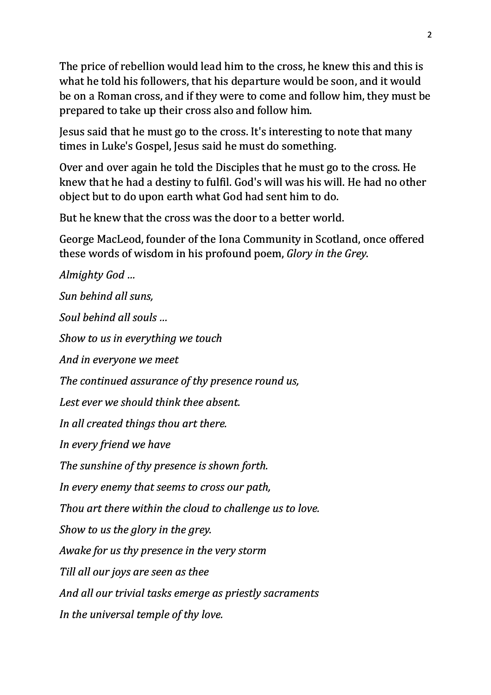The price of rebellion would lead him to the cross, he knew this and this is what he told his followers, that his departure would be soon, and it would be on a Roman cross, and if they were to come and follow him, they must be prepared to take up their cross also and follow him.

Jesus said that he must go to the cross. It's interesting to note that many times in Luke's Gospel, Jesus said he must do something.

Over and over again he told the Disciples that he must go to the cross. He knew that he had a destiny to fulfil. God's will was his will. He had no other object but to do upon earth what God had sent him to do.

But he knew that the cross was the door to a better world.

George MacLeod, founder of the Iona Community in Scotland, once offered these words of wisdom in his profound poem, *Glory in the Grey*.

*Almighty God … Sun behind all suns, Soul behind all souls … Show to us in everything we touch And in everyone we meet* The continued assurance of thy presence round us, Lest ever we should think thee absent. In all created things thou art there. *In every friend we have* The sunshine of thy presence is shown forth. *In every enemy that seems to cross our path, Thou art there within the cloud to challenge us to love. Show to us the glory in the grey. Awake for us thy presence in the very storm Till all our joys are seen as thee* And all our trivial tasks emerge as priestly sacraments *In the universal temple of thy love.*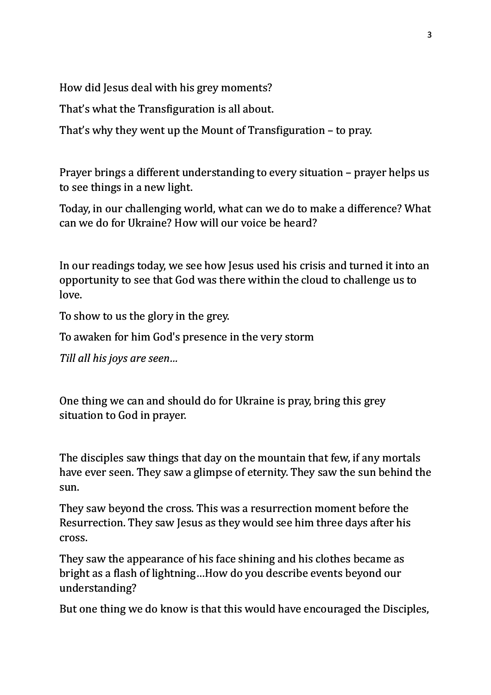How did Jesus deal with his grey moments?

That's what the Transfiguration is all about.

That's why they went up the Mount of Transfiguration  $-$  to pray.

Prayer brings a different understanding to every situation – prayer helps us to see things in a new light.

Today, in our challenging world, what can we do to make a difference? What can we do for Ukraine? How will our voice be heard?

In our readings today, we see how Jesus used his crisis and turned it into an opportunity to see that God was there within the cloud to challenge us to love.

To show to us the glory in the grey.

To awaken for him God's presence in the very storm

*Till all his joys are seen...* 

One thing we can and should do for Ukraine is pray, bring this grey situation to God in prayer.

The disciples saw things that day on the mountain that few, if any mortals have ever seen. They saw a glimpse of eternity. They saw the sun behind the sun.

They saw beyond the cross. This was a resurrection moment before the Resurrection. They saw Jesus as they would see him three days after his cross. 

They saw the appearance of his face shining and his clothes became as bright as a flash of lightning...How do you describe events beyond our understanding?

But one thing we do know is that this would have encouraged the Disciples,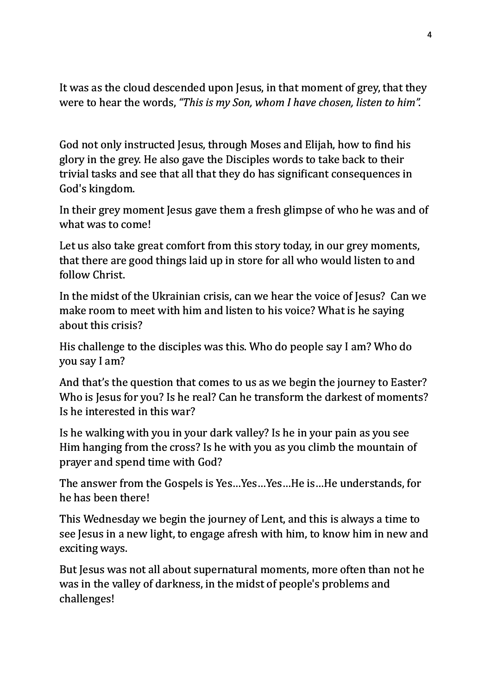It was as the cloud descended upon Jesus, in that moment of grey, that they were to hear the words, "This is my Son, whom I have chosen, listen to him".

God not only instructed Jesus, through Moses and Elijah, how to find his glory in the grey. He also gave the Disciples words to take back to their trivial tasks and see that all that they do has significant consequences in God's kingdom.

In their grey moment Jesus gave them a fresh glimpse of who he was and of what was to come!

Let us also take great comfort from this story today, in our grey moments, that there are good things laid up in store for all who would listen to and follow Christ. 

In the midst of the Ukrainian crisis, can we hear the voice of Jesus? Can we make room to meet with him and listen to his voice? What is he saying about this crisis?

His challenge to the disciples was this. Who do people say I am? Who do you say I am?

And that's the question that comes to us as we begin the journey to Easter? Who is Jesus for you? Is he real? Can he transform the darkest of moments? Is he interested in this war?

Is he walking with you in your dark valley? Is he in your pain as you see Him hanging from the cross? Is he with you as you climb the mountain of prayer and spend time with God?

The answer from the Gospels is Yes...Yes...Yes...He is...He understands, for he has been there!

This Wednesday we begin the journey of Lent, and this is always a time to see Jesus in a new light, to engage afresh with him, to know him in new and exciting ways.

But Jesus was not all about supernatural moments, more often than not he was in the valley of darkness, in the midst of people's problems and challenges!